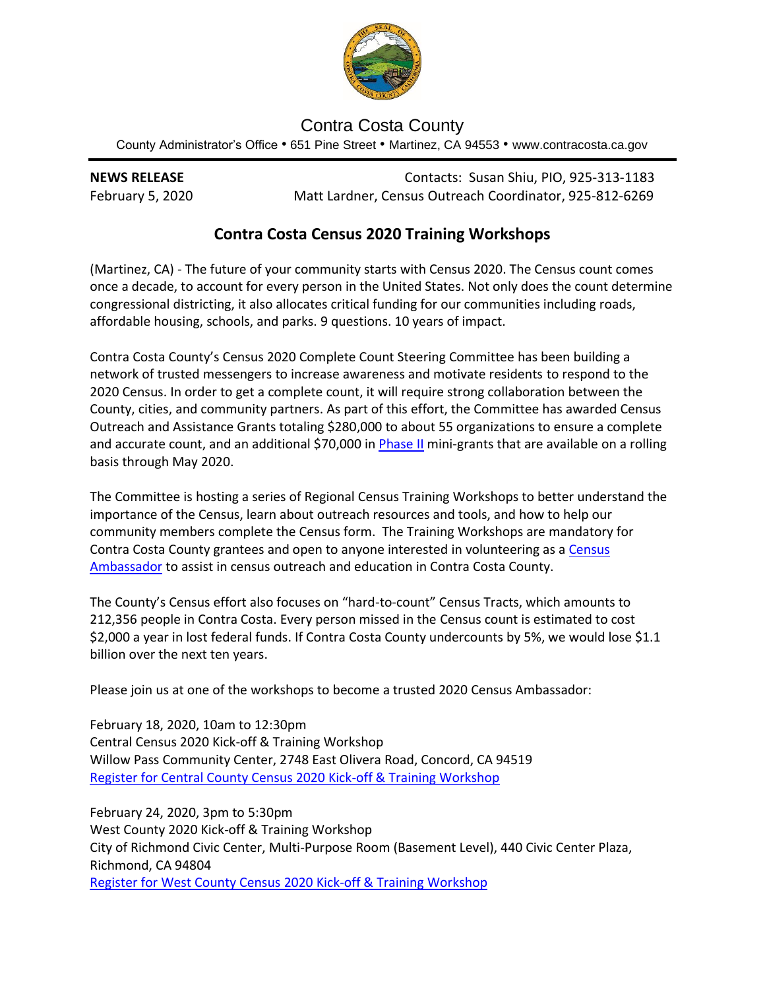

## Contra Costa County

County Administrator's Office • 651 Pine Street • Martinez, CA 94553 • www.contracosta.ca.gov

**NEWS RELEASE** Contacts: Susan Shiu, PIO, 925-313-1183 February 5, 2020 Matt Lardner, Census Outreach Coordinator, 925-812-6269

## **Contra Costa Census 2020 Training Workshops**

(Martinez, CA) - The future of your community starts with Census 2020. The Census count comes once a decade, to account for every person in the United States. Not only does the count determine congressional districting, it also allocates critical funding for our communities including roads, affordable housing, schools, and parks. 9 questions. 10 years of impact.

Contra Costa County's Census 2020 Complete Count Steering Committee has been building a network of trusted messengers to increase awareness and motivate residents to respond to the 2020 Census. In order to get a complete count, it will require strong collaboration between the County, cities, and community partners. As part of this effort, the Committee has awarded Census Outreach and Assistance Grants totaling \$280,000 to about 55 organizations to ensure a complete and accurate count, and an additional \$70,000 in [Phase II](https://www.contracosta.ca.gov/CivicAlerts.aspx?AID=2111) mini-grants that are available on a rolling basis through May 2020.

The Committee is hosting a series of Regional Census Training Workshops to better understand the importance of the Census, learn about outreach resources and tools, and how to help our community members complete the Census form. The Training Workshops are mandatory for Contra Costa County grantees and open to anyone interested in volunteering as a Census [Ambassador](https://www.contracosta.ca.gov/FormCenter/Department-of-Conservation-and-Developme-14/Census-2020-Ambassador-297) to assist in census outreach and education in Contra Costa County.

The County's Census effort also focuses on "hard-to-count" Census Tracts, which amounts to 212,356 people in Contra Costa. Every person missed in the Census count is estimated to cost \$2,000 a year in lost federal funds. If Contra Costa County undercounts by 5%, we would lose \$1.1 billion over the next ten years.

Please join us at one of the workshops to become a trusted 2020 Census Ambassador:

February 18, 2020, 10am to 12:30pm Central Census 2020 Kick-off & Training Workshop Willow Pass Community Center, 2748 East Olivera Road, Concord, CA 94519 [Register for Central County](https://www.eventbrite.com/e/91933117429) Census 2020 Kick-off & Training Workshop

February 24, 2020, 3pm to 5:30pm West County 2020 Kick-off & Training Workshop City of Richmond Civic Center, Multi-Purpose Room (Basement Level), 440 Civic Center Plaza, Richmond, CA 94804 [Register for West County Census 2020 Kick-off](https://www.eventbrite.com/e/91845252623) & Training Workshop